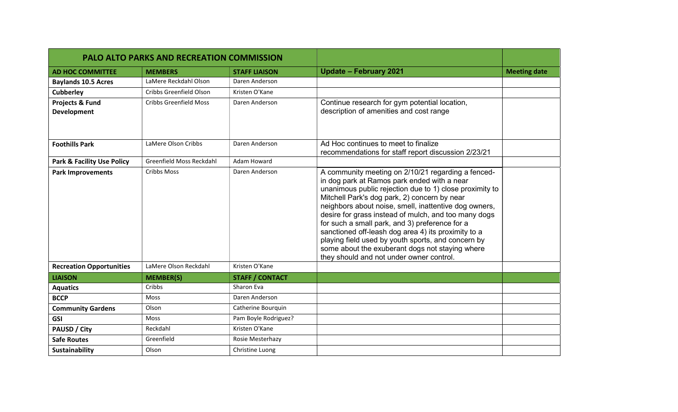| <b>PALO ALTO PARKS AND RECREATION COMMISSION</b> |                               |                        |                                                                                                                                                                                                                                                                                                                                                                                                                                                                                                                                                                                             |                     |
|--------------------------------------------------|-------------------------------|------------------------|---------------------------------------------------------------------------------------------------------------------------------------------------------------------------------------------------------------------------------------------------------------------------------------------------------------------------------------------------------------------------------------------------------------------------------------------------------------------------------------------------------------------------------------------------------------------------------------------|---------------------|
| <b>AD HOC COMMITTEE</b>                          | <b>MEMBERS</b>                | <b>STAFF LIAISON</b>   | <b>Update - February 2021</b>                                                                                                                                                                                                                                                                                                                                                                                                                                                                                                                                                               | <b>Meeting date</b> |
| <b>Baylands 10.5 Acres</b>                       | LaMere Reckdahl Olson         | Daren Anderson         |                                                                                                                                                                                                                                                                                                                                                                                                                                                                                                                                                                                             |                     |
| <b>Cubberley</b>                                 | Cribbs Greenfield Olson       | Kristen O'Kane         |                                                                                                                                                                                                                                                                                                                                                                                                                                                                                                                                                                                             |                     |
| Projects & Fund<br><b>Development</b>            | <b>Cribbs Greenfield Moss</b> | Daren Anderson         | Continue research for gym potential location,<br>description of amenities and cost range                                                                                                                                                                                                                                                                                                                                                                                                                                                                                                    |                     |
| <b>Foothills Park</b>                            | LaMere Olson Cribbs           | Daren Anderson         | Ad Hoc continues to meet to finalize<br>recommendations for staff report discussion 2/23/21                                                                                                                                                                                                                                                                                                                                                                                                                                                                                                 |                     |
| <b>Park &amp; Facility Use Policy</b>            | Greenfield Moss Reckdahl      | Adam Howard            |                                                                                                                                                                                                                                                                                                                                                                                                                                                                                                                                                                                             |                     |
| <b>Park Improvements</b>                         | <b>Cribbs Moss</b>            | Daren Anderson         | A community meeting on 2/10/21 regarding a fenced-<br>in dog park at Ramos park ended with a near<br>unanimous public rejection due to 1) close proximity to<br>Mitchell Park's dog park, 2) concern by near<br>neighbors about noise, smell, inattentive dog owners,<br>desire for grass instead of mulch, and too many dogs<br>for such a small park, and 3) preference for a<br>sanctioned off-leash dog area 4) its proximity to a<br>playing field used by youth sports, and concern by<br>some about the exuberant dogs not staying where<br>they should and not under owner control. |                     |
| <b>Recreation Opportunities</b>                  | LaMere Olson Reckdahl         | Kristen O'Kane         |                                                                                                                                                                                                                                                                                                                                                                                                                                                                                                                                                                                             |                     |
| <b>LIAISON</b>                                   | <b>MEMBER(S)</b>              | <b>STAFF / CONTACT</b> |                                                                                                                                                                                                                                                                                                                                                                                                                                                                                                                                                                                             |                     |
| <b>Aquatics</b>                                  | Cribbs                        | Sharon Eva             |                                                                                                                                                                                                                                                                                                                                                                                                                                                                                                                                                                                             |                     |
| <b>BCCP</b>                                      | <b>Moss</b>                   | Daren Anderson         |                                                                                                                                                                                                                                                                                                                                                                                                                                                                                                                                                                                             |                     |
| <b>Community Gardens</b>                         | Olson                         | Catherine Bourquin     |                                                                                                                                                                                                                                                                                                                                                                                                                                                                                                                                                                                             |                     |
| <b>GSI</b>                                       | <b>Moss</b>                   | Pam Boyle Rodriguez?   |                                                                                                                                                                                                                                                                                                                                                                                                                                                                                                                                                                                             |                     |
| <b>PAUSD / City</b>                              | Reckdahl                      | Kristen O'Kane         |                                                                                                                                                                                                                                                                                                                                                                                                                                                                                                                                                                                             |                     |
| <b>Safe Routes</b>                               | Greenfield                    | Rosie Mesterhazy       |                                                                                                                                                                                                                                                                                                                                                                                                                                                                                                                                                                                             |                     |
| <b>Sustainability</b>                            | Olson                         | Christine Luong        |                                                                                                                                                                                                                                                                                                                                                                                                                                                                                                                                                                                             |                     |